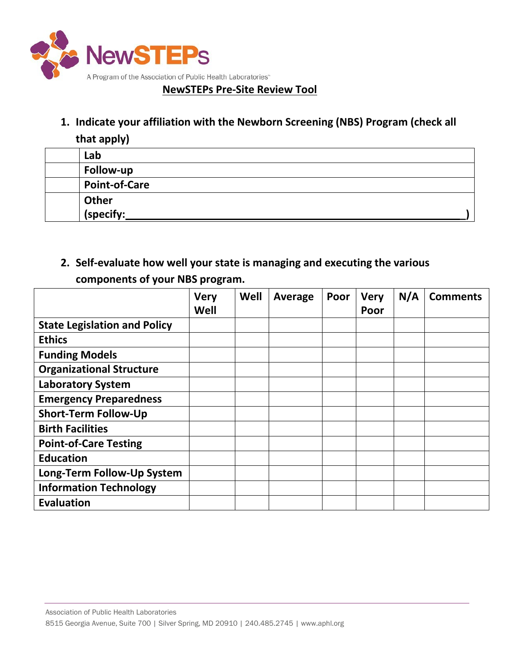

## **NewSTEPs Pre-Site Review Tool**

**1. Indicate your affiliation with the Newborn Screening (NBS) Program (check all that apply)**

| $\cdots$ $\cdots$ $\cdots$ |
|----------------------------|
| Lab                        |
| Follow-up                  |
| <b>Point-of-Care</b>       |
| Other                      |
| (specify:                  |

**2. Self-evaluate how well your state is managing and executing the various components of your NBS program.**

|                                     | <b>Very</b><br>Well | Well | Average | Poor | <b>Very</b><br>Poor | N/A | <b>Comments</b> |
|-------------------------------------|---------------------|------|---------|------|---------------------|-----|-----------------|
| <b>State Legislation and Policy</b> |                     |      |         |      |                     |     |                 |
| <b>Ethics</b>                       |                     |      |         |      |                     |     |                 |
| <b>Funding Models</b>               |                     |      |         |      |                     |     |                 |
| <b>Organizational Structure</b>     |                     |      |         |      |                     |     |                 |
| <b>Laboratory System</b>            |                     |      |         |      |                     |     |                 |
| <b>Emergency Preparedness</b>       |                     |      |         |      |                     |     |                 |
| <b>Short-Term Follow-Up</b>         |                     |      |         |      |                     |     |                 |
| <b>Birth Facilities</b>             |                     |      |         |      |                     |     |                 |
| <b>Point-of-Care Testing</b>        |                     |      |         |      |                     |     |                 |
| <b>Education</b>                    |                     |      |         |      |                     |     |                 |
| Long-Term Follow-Up System          |                     |      |         |      |                     |     |                 |
| <b>Information Technology</b>       |                     |      |         |      |                     |     |                 |
| <b>Evaluation</b>                   |                     |      |         |      |                     |     |                 |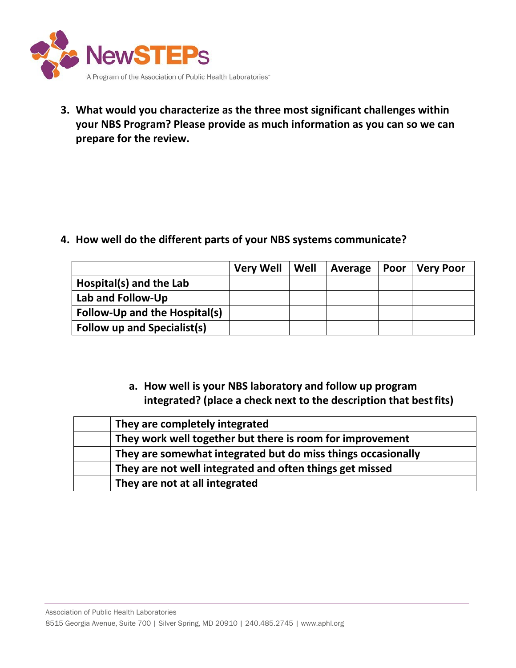

**3. What would you characterize as the three most significant challenges within your NBS Program? Please provide as much information as you can so we can prepare for the review.**

**4. How well do the different parts of your NBS systems communicate?**

|                                    | <b>Very Well</b> | Well | Average | $ $ Poor $ $ | Very Poor |
|------------------------------------|------------------|------|---------|--------------|-----------|
| Hospital(s) and the Lab            |                  |      |         |              |           |
| Lab and Follow-Up                  |                  |      |         |              |           |
| Follow-Up and the Hospital(s)      |                  |      |         |              |           |
| <b>Follow up and Specialist(s)</b> |                  |      |         |              |           |

**a. How well is your NBS laboratory and follow up program integrated? (place a check next to the description that bestfits)**

| They are completely integrated                               |
|--------------------------------------------------------------|
| They work well together but there is room for improvement    |
| They are somewhat integrated but do miss things occasionally |
| They are not well integrated and often things get missed     |
| They are not at all integrated                               |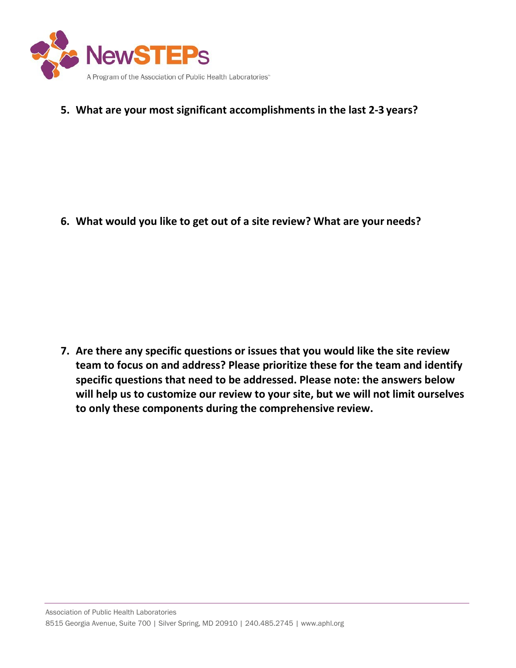

**5. What are your most significant accomplishments in the last 2-3 years?**

**6. What would you like to get out of a site review? What are your needs?**

**7. Are there any specific questions or issues that you would like the site review team to focus on and address? Please prioritize these for the team and identify specific questions that need to be addressed. Please note: the answers below will help us to customize our review to your site, but we will not limit ourselves to only these components during the comprehensive review.**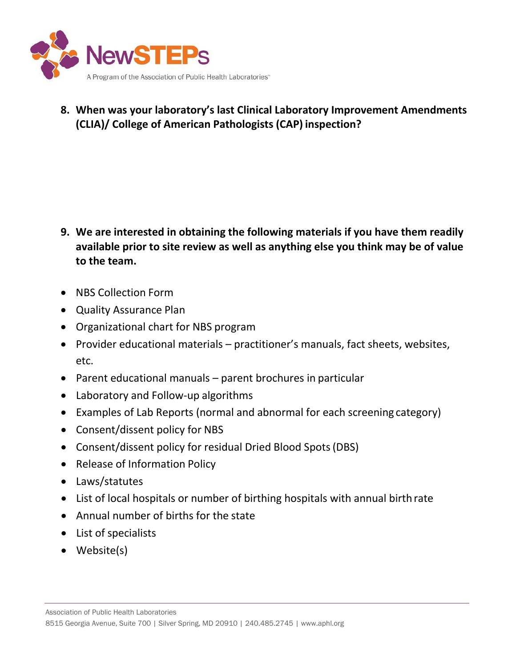

**8. When was your laboratory's last Clinical Laboratory Improvement Amendments (CLIA)/ College of American Pathologists (CAP) inspection?**

- **9. We are interested in obtaining the following materials if you have them readily available prior to site review as well as anything else you think may be of value to the team.**
- NBS Collection Form
- Quality Assurance Plan
- Organizational chart for NBS program
- Provider educational materials practitioner's manuals, fact sheets, websites, etc.
- Parent educational manuals parent brochures in particular
- Laboratory and Follow-up algorithms
- Examples of Lab Reports (normal and abnormal for each screening category)
- Consent/dissent policy for NBS
- Consent/dissent policy for residual Dried Blood Spots(DBS)
- Release of Information Policy
- Laws/statutes
- List of local hospitals or number of birthing hospitals with annual birth rate
- Annual number of births for the state
- List of specialists
- Website(s)